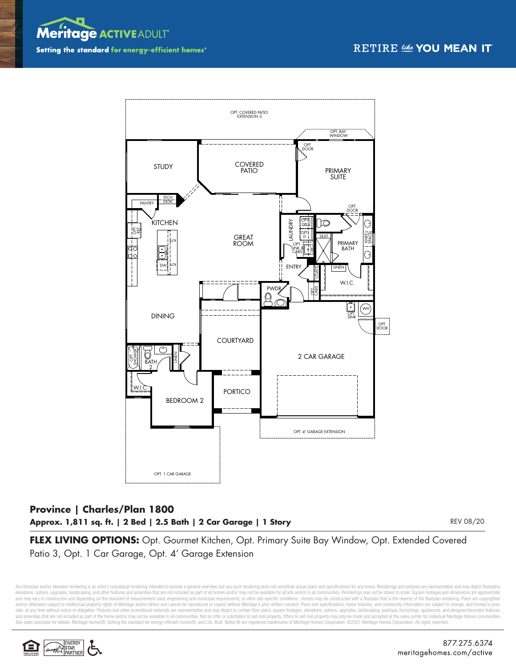



## **Province | Charles/Plan 1800 Approx. 1,811 sq. ft. | 2 Bed | 2.5 Bath | 2 Car Garage | 1 Story**

REV 08/20

**FLEX LIVING OPTIONS:** Opt. Gourmet Kitchen, Opt. Primary Suite Bay Window, Opt. Extended Covered Patio 3, Opt. 1 Car Garage, Opt. 4' Garage Extension

Any floorplan and/or elevation rendering is an artist's conceptual rendering intended to provide a general overview, but any such rendering does not constitute actual plans and specifications for any home. Renderings and p elevations, options, upgrades, landscaping, and other features and amenities that are not included as part of all homes and/or may not be available for all lots and/or in all communities. Renderings may not be drawn to sca and may vary in construction and depending on the standard of measurement used, engineering and municipal requirements, or other site-specific conditions. Homes may be constructed with a floorplan that is the reverse of th and/or otherwise subject to intellectual property rights of Meritage and/or others and cannot be reproduced or copied without Meritage's prior written consent. Plans and specifications, home features, and community informa sale, at any time without notice or obligation. Pictures and other promotional materials are representative and may depict or contain floor plans, square footages, elevations, options, upgrades, landscaping, pool/spa, furn and amenities that are not included as part of the home and/or may not be available in all communities. Not an offer or solicitation to sell real property. Offers to sell real property may only be made and accepted at the S®, Setting the standard for energy-efficient homes®, and Life. Built. Better.® are registered trademarks of Meritage Homes Corporation. ©2021 Meritage Homes Corporation. All rights reserved.